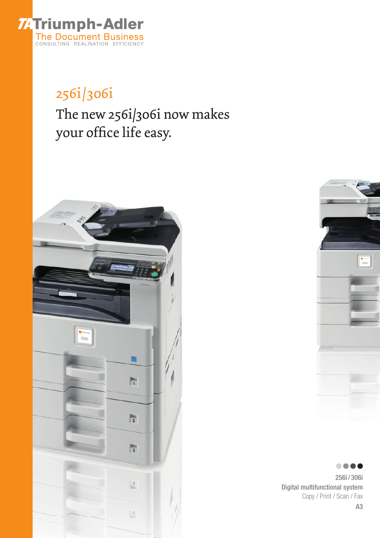

### 256i/306i The new 256i/306i now makes your office life easy.





.... 256i / 306i Digital multifunctional system Copy / Print / Scan / Fax A3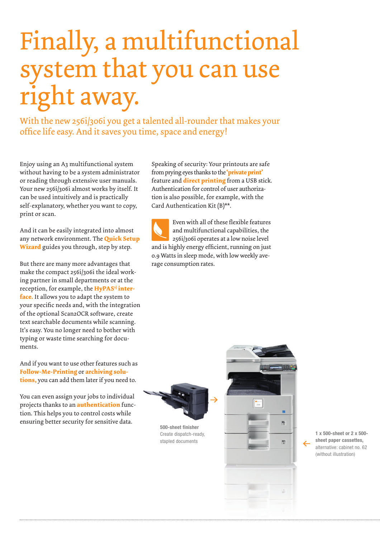# Finally, a multifunctional system that you can use right away.

With the new 256i/306i you get a talented all-rounder that makes your office life easy. And it saves you time, space and energy!

Enjoy using an A3 multifunctional system without having to be a system administrator or reading through extensive user manuals. Your new 256i/306i almost works by itself. It can be used intuitively and is practically self-explanatory, whether you want to copy, print or scan.

And it can be easily integrated into almost any network environment. The **Quick Setup Wizard** guides you through, step by step.

But there are many more advantages that make the compact 256i/306i the ideal working partner in small departments or at the reception, for example, the **HyPAS<sup>1</sup>** inter**face.** It allows you to adapt the system to your specific needs and, with the integration of the optional Scan2OCR software, create text searchable documents while scanning. It's easy. You no longer need to bother with typing or waste time searching for documents.

And if you want to use other features such as **Follow-Me-Printing** or **archiving solutions,** you can add them later if you need to.

You can even assign your jobs to individual projects thanks to an **authentication** function. This helps you to control costs while ensuring better security for sensitive data.

Speaking of security: Your printouts are safe from prying eyes thanks to the **'private print'**  feature and **direct printing** from a USB stick. Authentication for control of user authorization is also possible, for example, with the Card Authentication Kit (B)\*\*.

Even with all of these flexible features and multifunctional capabilities, the 256i/306i operates at a low noise level and is highly energy efficient, running on just 0.9 Watts in sleep mode, with low weekly average consumption rates.



**500-sheet finisher** Create dispatch-ready, stapled documents



**1 x 500-sheet or 2 x 500 sheet paper cassettes,**  alternative: cabinet no. 62 (without illustration)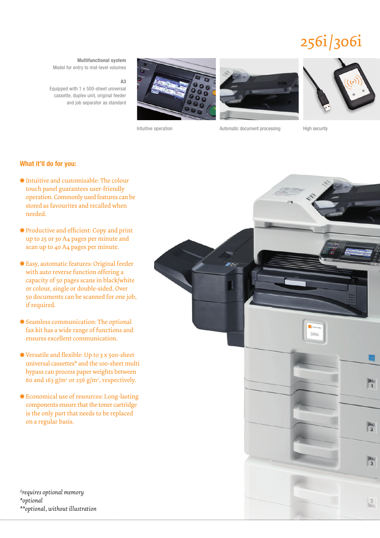## 256i/306i

**Multifunctional system**

Model for entry to mid-level volumes

**A3**

Equipped with 1 x 500-sheet universal cassette, duplex unit, original feeder and job separator as standard







Intuitive operation **Automatic document processing** High security

#### **What it'll do for you:**

- Intuitive and customisable: The colour touch panel guarantees user-friendly operation. Commonly used features can be stored as favourites and recalled when needed.
- \* Productive and efficient: Copy and print up to 25 or 30 A4 pages per minute and scan up to 40 A4 pages per minute.
- Easy, automatic features: Original feeder with auto reverse function offering a capacity of 50 pages scans in black/white or colour, single or double-sided. Over 50 documents can be scanned for one job, if required.
- Seamless communication: The optional fax kit has a wide range of functions and ensures excellent communication.
- \* Versatile and flexible: Up to 3 x 500-sheet universal cassettes\* and the 100-sheet multi bypass can process paper weights between 60 and 163  $g/m^2$  or 256  $g/m^2$ , respectively.
- Economical use of resources: Long-lasting components ensure that the toner cartridge is the only part that needs to be replaced on a regular basis.

*1)requires optional memory \*optional \*\*optional, without illustration*